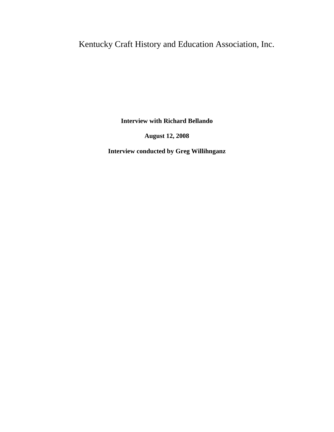Kentucky Craft History and Education Association, Inc.

**Interview with Richard Bellando**

**August 12, 2008**

**Interview conducted by Greg Willihnganz**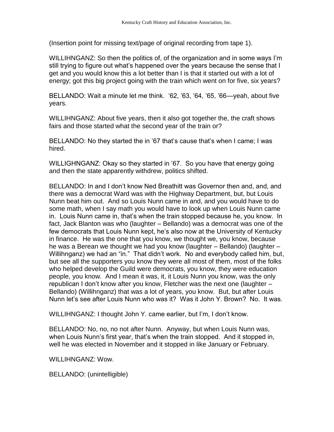(Insertion point for missing text/page of original recording from tape 1).

WILLIHNGANZ: So then the politics of, of the organization and in some ways I'm still trying to figure out what's happened over the years because the sense that I get and you would know this a lot better than I is that it started out with a lot of energy; got this big project going with the train which went on for five, six years?

BELLANDO: Wait a minute let me think. '62, '63, '64, '65, '66—yeah, about five years.

WILLIHNGANZ: About five years, then it also got together the, the craft shows fairs and those started what the second year of the train or?

BELLANDO: No they started the in '67 that's cause that's when I came; I was hired.

WILLIGHNGANZ: Okay so they started in '67. So you have that energy going and then the state apparently withdrew, politics shifted.

BELLANDO: In and I don't know Ned Breathitt was Governor then and, and, and there was a democrat Ward was with the Highway Department, but, but Louis Nunn beat him out. And so Louis Nunn came in and, and you would have to do some math, when I say math you would have to look up when Louis Nunn came in. Louis Nunn came in, that's when the train stopped because he, you know. In fact, Jack Blanton was who (laughter – Bellando) was a democrat was one of the few democrats that Louis Nunn kept, he's also now at the University of Kentucky in finance. He was the one that you know, we thought we, you know, because he was a Berean we thought we had you know (laughter – Bellando) (laughter – Willihnganz) we had an "in." That didn't work. No and everybody called him, but, but see all the supporters you know they were all most of them, most of the folks who helped develop the Guild were democrats, you know, they were education people, you know. And I mean it was, it, it Louis Nunn you know, was the only republican I don't know after you know, Fletcher was the next one (laughter – Bellando) (Willihnganz) that was a lot of years, you know. But, but after Louis Nunn let's see after Louis Nunn who was it? Was it John Y. Brown? No. It was.

WILLIHNGANZ: I thought John Y. came earlier, but I'm, I don't know.

BELLANDO: No, no, no not after Nunn. Anyway, but when Louis Nunn was, when Louis Nunn's first year, that's when the train stopped. And it stopped in, well he was elected in November and it stopped in like January or February.

WILLIHNGANZ: Wow.

BELLANDO: (unintelligible)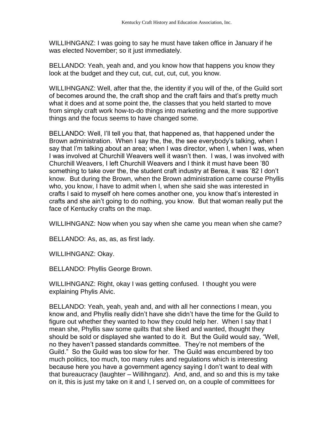WILLIHNGANZ: I was going to say he must have taken office in January if he was elected November; so it just immediately.

BELLANDO: Yeah, yeah and, and you know how that happens you know they look at the budget and they cut, cut, cut, cut, cut, you know.

WILLIHNGANZ: Well, after that the, the identity if you will of the, of the Guild sort of becomes around the, the craft shop and the craft fairs and that's pretty much what it does and at some point the, the classes that you held started to move from simply craft work how-to-do things into marketing and the more supportive things and the focus seems to have changed some.

BELLANDO: Well, I'll tell you that, that happened as, that happened under the Brown administration. When I say the, the, the see everybody's talking, when I say that I'm talking about an area; when I was director, when I, when I was, when I was involved at Churchill Weavers well it wasn't then. I was, I was involved with Churchill Weavers, I left Churchill Weavers and I think it must have been '80 something to take over the, the student craft industry at Berea, it was '82 I don't know. But during the Brown, when the Brown administration came course Phyllis who, you know, I have to admit when I, when she said she was interested in crafts I said to myself oh here comes another one, you know that's interested in crafts and she ain't going to do nothing, you know. But that woman really put the face of Kentucky crafts on the map.

WILLIHNGANZ: Now when you say when she came you mean when she came?

BELLANDO: As, as, as, as first lady.

WILLIHNGANZ: Okay.

BELLANDO: Phyllis George Brown.

WILLIHNGANZ: Right, okay I was getting confused. I thought you were explaining Phylis Alvic.

BELLANDO: Yeah, yeah, yeah and, and with all her connections I mean, you know and, and Phyllis really didn't have she didn't have the time for the Guild to figure out whether they wanted to how they could help her. When I say that I mean she, Phyllis saw some quilts that she liked and wanted, thought they should be sold or displayed she wanted to do it. But the Guild would say, "Well, no they haven't passed standards committee. They're not members of the Guild." So the Guild was too slow for her. The Guild was encumbered by too much politics, too much, too many rules and regulations which is interesting because here you have a government agency saying I don't want to deal with that bureaucracy (laughter – Willihnganz). And, and, and so and this is my take on it, this is just my take on it and I, I served on, on a couple of committees for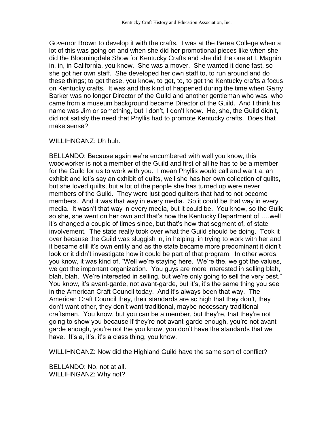Governor Brown to develop it with the crafts. I was at the Berea College when a lot of this was going on and when she did her promotional pieces like when she did the Bloomingdale Show for Kentucky Crafts and she did the one at I. Magnin in, in, in California, you know. She was a mover. She wanted it done fast, so she got her own staff. She developed her own staff to, to run around and do these things; to get these, you know, to get, to, to get the Kentucky crafts a focus on Kentucky crafts. It was and this kind of happened during the time when Garry Barker was no longer Director of the Guild and another gentleman who was, who came from a museum background became Director of the Guild. And I think his name was Jim or something, but I don't, I don't know. He, she, the Guild didn't, did not satisfy the need that Phyllis had to promote Kentucky crafts. Does that make sense?

## WILLIHNGANZ: Uh huh.

BELLANDO: Because again we're encumbered with well you know, this woodworker is not a member of the Guild and first of all he has to be a member for the Guild for us to work with you. I mean Phyllis would call and want a, an exhibit and let's say an exhibit of quilts, well she has her own collection of quilts, but she loved quilts, but a lot of the people she has turned up were never members of the Guild. They were just good quilters that had to not become members. And it was that way in every media. So it could be that way in every media. It wasn't that way in every media, but it could be. You know, so the Guild so she, she went on her own and that's how the Kentucky Department of ….well it's changed a couple of times since, but that's how that segment of, of state involvement. The state really took over what the Guild should be doing. Took it over because the Guild was sluggish in, in helping, in trying to work with her and it became still it's own entity and as the state became more predominant it didn't look or it didn't investigate how it could be part of that program. In other words, you know, it was kind of, "Well we're staying here. We're the, we got the values, we got the important organization. You guys are more interested in selling blah, blah, blah. We're interested in selling, but we're only going to sell the very best." You know, it's avant-garde, not avant-garde, but it's, it's the same thing you see in the American Craft Council today. And it's always been that way. The American Craft Council they, their standards are so high that they don't, they don't want other, they don't want traditional, maybe necessary traditional craftsmen. You know, but you can be a member, but they're, that they're not going to show you because if they're not avant-garde enough, you're not avantgarde enough, you're not the you know, you don't have the standards that we have. It's a, it's, it's a class thing, you know.

WILLIHNGANZ: Now did the Highland Guild have the same sort of conflict?

BELLANDO: No, not at all. WILLIHNGANZ: Why not?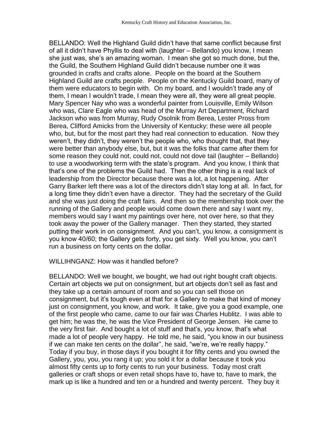BELLANDO: Well the Highland Guild didn't have that same conflict because first of all it didn't have Phyllis to deal with (laughter – Bellando) you know, I mean she just was, she's an amazing woman. I mean she got so much done, but the, the Guild, the Southern Highland Guild didn't because number one it was grounded in crafts and crafts alone. People on the board at the Southern Highland Guild are crafts people. People on the Kentucky Guild board, many of them were educators to begin with. On my board, and I wouldn't trade any of them, I mean I wouldn't trade, I mean they were all, they were all great people. Mary Spencer Nay who was a wonderful painter from Louisville, Emily Wilson who was, Clare Eagle who was head of the Murray Art Department, Richard Jackson who was from Murray, Rudy Osolnik from Berea, Lester Pross from Berea, Clifford Amicks from the University of Kentucky; these were all people who, but, but for the most part they had real connection to education. Now they weren't, they didn't, they weren't the people who, who thought that, that they were better than anybody else, but, but it was the folks that came after them for some reason they could not, could not, could not dove tail (laughter – Bellando) to use a woodworking term with the state's program. And you know, I think that that's one of the problems the Guild had. Then the other thing is a real lack of leadership from the Director because there was a lot, a lot happening. After Garry Barker left there was a lot of the directors didn't stay long at all. In fact, for a long time they didn't even have a director. They had the secretary of the Guild and she was just doing the craft fairs. And then so the membership took over the running of the Gallery and people would come down there and say I want my, members would say I want my paintings over here, not over here, so that they took away the power of the Gallery manager. Then they started, they started putting their work in on consignment. And you can't, you know, a consignment is you know 40/60; the Gallery gets forty, you get sixty. Well you know, you can't run a business on forty cents on the dollar.

## WILLIHNGANZ: How was it handled before?

BELLANDO: Well we bought, we bought, we had out right bought craft objects. Certain art objects we put on consignment, but art objects don't sell as fast and they take up a certain amount of room and so you can sell those on consignment, but it's tough even at that for a Gallery to make that kind of money just on consignment, you know, and work. It take, give you a good example, one of the first people who came, came to our fair was Charles Hublitz. I was able to get him; he was the, he was the Vice President of George Jensen. He came to the very first fair. And bought a lot of stuff and that's, you know, that's what made a lot of people very happy. He told me, he said, "you know in our business if we can make ten cents on the dollar", he said, "we're, we're really happy." Today if you buy, in those days if you bought it for fifty cents and you owned the Gallery, you, you, you rang it up; you sold it for a dollar because it took you almost fifty cents up to forty cents to run your business. Today most craft galleries or craft shops or even retail shops have to, have to, have to mark, the mark up is like a hundred and ten or a hundred and twenty percent. They buy it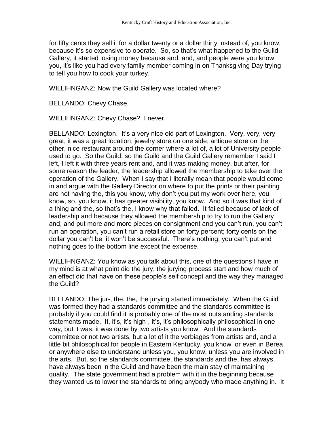for fifty cents they sell it for a dollar twenty or a dollar thirty instead of, you know, because it's so expensive to operate. So, so that's what happened to the Guild Gallery, it started losing money because and, and, and people were you know, you, it's like you had every family member coming in on Thanksgiving Day trying to tell you how to cook your turkey.

WILLIHNGANZ: Now the Guild Gallery was located where?

BELLANDO: Chevy Chase.

WILLIHNGANZ: Chevy Chase? I never.

BELLANDO: Lexington. It's a very nice old part of Lexington. Very, very, very great, it was a great location; jewelry store on one side, antique store on the other, nice restaurant around the corner where a lot of, a lot of University people used to go. So the Guild, so the Guild and the Guild Gallery remember I said I left, I left it with three years rent and, and it was making money, but after, for some reason the leader, the leadership allowed the membership to take over the operation of the Gallery. When I say that I literally mean that people would come in and argue with the Gallery Director on where to put the prints or their painting are not having the, this you know, why don't you put my work over here, you know, so, you know, it has greater visibility, you know. And so it was that kind of a thing and the, so that's the, I know why that failed. It failed because of lack of leadership and because they allowed the membership to try to run the Gallery and, and put more and more pieces on consignment and you can't run, you can't run an operation, you can't run a retail store on forty percent; forty cents on the dollar you can't be, it won't be successful. There's nothing, you can't put and nothing goes to the bottom line except the expense.

WILLIHNGANZ: You know as you talk about this, one of the questions I have in my mind is at what point did the jury, the jurying process start and how much of an effect did that have on these people's self concept and the way they managed the Guild?

BELLANDO: The jur-, the, the, the jurying started immediately. When the Guild was formed they had a standards committee and the standards committee is probably if you could find it is probably one of the most outstanding standards statements made. It, it's, it's high-, it's, it's philosophically philosophical in one way, but it was, it was done by two artists you know. And the standards committee or not two artists, but a lot of it the verbiages from artists and, and a little bit philosophical for people in Eastern Kentucky, you know, or even in Berea or anywhere else to understand unless you, you know, unless you are involved in the arts. But, so the standards committee, the standards and the, has always, have always been in the Guild and have been the main stay of maintaining quality. The state government had a problem with it in the beginning because they wanted us to lower the standards to bring anybody who made anything in. It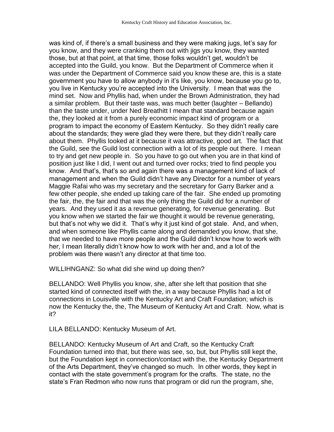was kind of, if there's a small business and they were making jugs, let's say for you know, and they were cranking them out with jigs you know, they wanted those, but at that point, at that time, those folks wouldn't get, wouldn't be accepted into the Guild, you know. But the Department of Commerce when it was under the Department of Commerce said you know these are, this is a state government you have to allow anybody in it's like, you know, because you go to, you live in Kentucky you're accepted into the University. I mean that was the mind set. Now and Phyllis had, when under the Brown Administration, they had a similar problem. But their taste was, was much better (laughter – Bellando) than the taste under, under Ned Breathitt I mean that standard because again the, they looked at it from a purely economic impact kind of program or a program to impact the economy of Eastern Kentucky. So they didn't really care about the standards; they were glad they were there, but they didn't really care about them. Phyllis looked at it because it was attractive, good art. The fact that the Guild, see the Guild lost connection with a lot of its people out there. I mean to try and get new people in. So you have to go out when you are in that kind of position just like I did, I went out and turned over rocks; tried to find people you know. And that's, that's so and again there was a management kind of lack of management and when the Guild didn't have any Director for a number of years Maggie Rafai who was my secretary and the secretary for Garry Barker and a few other people, she ended up taking care of the fair. She ended up promoting the fair, the, the fair and that was the only thing the Guild did for a number of years. And they used it as a revenue generating, for revenue generating. But you know when we started the fair we thought it would be revenue generating, but that's not why we did it. That's why it just kind of got stale. And, and when, and when someone like Phyllis came along and demanded you know, that she, that we needed to have more people and the Guild didn't know how to work with her, I mean literally didn't know how to work with her and, and a lot of the problem was there wasn't any director at that time too.

WILLIHNGANZ: So what did she wind up doing then?

BELLANDO: Well Phyllis you know, she, after she left that position that she started kind of connected itself with the, in a way because Phyllis had a lot of connections in Louisville with the Kentucky Art and Craft Foundation; which is now the Kentucky the, the, The Museum of Kentucky Art and Craft. Now, what is it?

LILA BELLANDO: Kentucky Museum of Art.

BELLANDO: Kentucky Museum of Art and Craft, so the Kentucky Craft Foundation turned into that, but there was see, so, but, but Phyllis still kept the, but the Foundation kept in connection/contact with the, the Kentucky Department of the Arts Department, they've changed so much. In other words, they kept in contact with the state government's program for the crafts. The state, no the state's Fran Redmon who now runs that program or did run the program, she,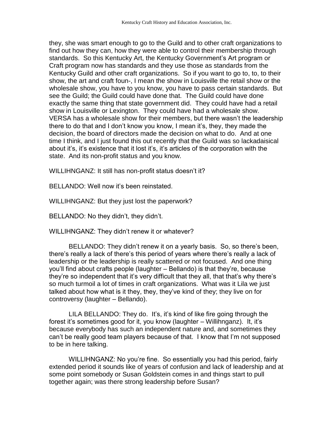they, she was smart enough to go to the Guild and to other craft organizations to find out how they can, how they were able to control their membership through standards. So this Kentucky Art, the Kentucky Government's Art program or Craft program now has standards and they use those as standards from the Kentucky Guild and other craft organizations. So if you want to go to, to, to their show, the art and craft foun-, I mean the show in Louisville the retail show or the wholesale show, you have to you know, you have to pass certain standards. But see the Guild; the Guild could have done that. The Guild could have done exactly the same thing that state government did. They could have had a retail show in Louisville or Lexington. They could have had a wholesale show. VERSA has a wholesale show for their members, but there wasn't the leadership there to do that and I don't know you know, I mean it's, they, they made the decision, the board of directors made the decision on what to do. And at one time I think, and I just found this out recently that the Guild was so lackadaisical about it's, it's existence that it lost it's, it's articles of the corporation with the state. And its non-profit status and you know.

WILLIHNGANZ: It still has non-profit status doesn't it?

BELLANDO: Well now it's been reinstated.

WILLIHNGANZ: But they just lost the paperwork?

BELLANDO: No they didn't, they didn't.

WILLIHNGANZ: They didn't renew it or whatever?

BELLANDO: They didn't renew it on a yearly basis. So, so there's been, there's really a lack of there's this period of years where there's really a lack of leadership or the leadership is really scattered or not focused. And one thing you'll find about crafts people (laughter – Bellando) is that they're, because they're so independent that it's very difficult that they all, that that's why there's so much turmoil a lot of times in craft organizations. What was it Lila we just talked about how what is it they, they, they've kind of they; they live on for controversy (laughter – Bellando).

LILA BELLANDO: They do. It's, it's kind of like fire going through the forest it's sometimes good for it, you know (laughter – Willihnganz). It, it's because everybody has such an independent nature and, and sometimes they can't be really good team players because of that. I know that I'm not supposed to be in here talking.

WILLIHNGANZ: No you're fine. So essentially you had this period, fairly extended period it sounds like of years of confusion and lack of leadership and at some point somebody or Susan Goldstein comes in and things start to pull together again; was there strong leadership before Susan?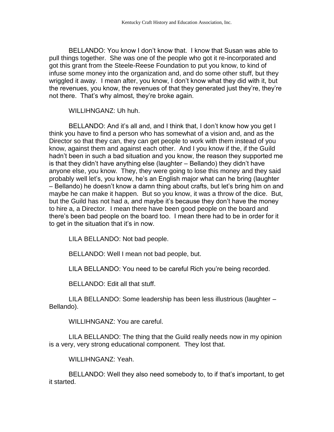BELLANDO: You know I don't know that. I know that Susan was able to pull things together. She was one of the people who got it re-incorporated and got this grant from the Steele-Reese Foundation to put you know, to kind of infuse some money into the organization and, and do some other stuff, but they wriggled it away. I mean after, you know, I don't know what they did with it, but the revenues, you know, the revenues of that they generated just they're, they're not there. That's why almost, they're broke again.

WILLIHNGANZ: Uh huh.

BELLANDO: And it's all and, and I think that, I don't know how you get I think you have to find a person who has somewhat of a vision and, and as the Director so that they can, they can get people to work with them instead of you know, against them and against each other. And I you know if the, if the Guild hadn't been in such a bad situation and you know, the reason they supported me is that they didn't have anything else (laughter – Bellando) they didn't have anyone else, you know. They, they were going to lose this money and they said probably well let's, you know, he's an English major what can he bring (laughter – Bellando) he doesn't know a damn thing about crafts, but let's bring him on and maybe he can make it happen. But so you know, it was a throw of the dice. But, but the Guild has not had a, and maybe it's because they don't have the money to hire a, a Director. I mean there have been good people on the board and there's been bad people on the board too. I mean there had to be in order for it to get in the situation that it's in now.

LILA BELLANDO: Not bad people.

BELLANDO: Well I mean not bad people, but.

LILA BELLANDO: You need to be careful Rich you're being recorded.

BELLANDO: Edit all that stuff.

LILA BELLANDO: Some leadership has been less illustrious (laughter – Bellando).

WILLIHNGANZ: You are careful.

LILA BELLANDO: The thing that the Guild really needs now in my opinion is a very, very strong educational component. They lost that.

WILLIHNGANZ: Yeah.

BELLANDO: Well they also need somebody to, to if that's important, to get it started.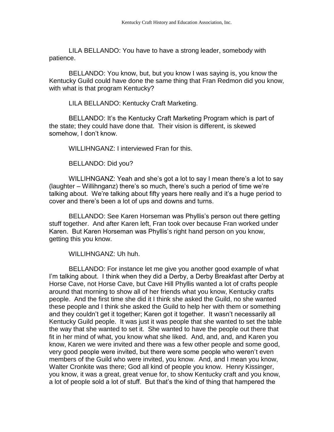LILA BELLANDO: You have to have a strong leader, somebody with patience.

BELLANDO: You know, but, but you know I was saying is, you know the Kentucky Guild could have done the same thing that Fran Redmon did you know, with what is that program Kentucky?

LILA BELLANDO: Kentucky Craft Marketing.

BELLANDO: It's the Kentucky Craft Marketing Program which is part of the state; they could have done that. Their vision is different, is skewed somehow, I don't know.

WILLIHNGANZ: I interviewed Fran for this.

BELLANDO: Did you?

WILLIHNGANZ: Yeah and she's got a lot to say I mean there's a lot to say (laughter – Willihnganz) there's so much, there's such a period of time we're talking about. We're talking about fifty years here really and it's a huge period to cover and there's been a lot of ups and downs and turns.

BELLANDO: See Karen Horseman was Phyllis's person out there getting stuff together. And after Karen left, Fran took over because Fran worked under Karen. But Karen Horseman was Phyllis's right hand person on you know, getting this you know.

WILLIHNGANZ: Uh huh.

BELLANDO: For instance let me give you another good example of what I'm talking about. I think when they did a Derby, a Derby Breakfast after Derby at Horse Cave, not Horse Cave, but Cave Hill Phyllis wanted a lot of crafts people around that morning to show all of her friends what you know, Kentucky crafts people. And the first time she did it I think she asked the Guild, no she wanted these people and I think she asked the Guild to help her with them or something and they couldn't get it together; Karen got it together. It wasn't necessarily all Kentucky Guild people. It was just it was people that she wanted to set the table the way that she wanted to set it. She wanted to have the people out there that fit in her mind of what, you know what she liked. And, and, and, and Karen you know, Karen we were invited and there was a few other people and some good, very good people were invited, but there were some people who weren't even members of the Guild who were invited, you know. And, and I mean you know, Walter Cronkite was there; God all kind of people you know. Henry Kissinger, you know, it was a great, great venue for, to show Kentucky craft and you know, a lot of people sold a lot of stuff. But that's the kind of thing that hampered the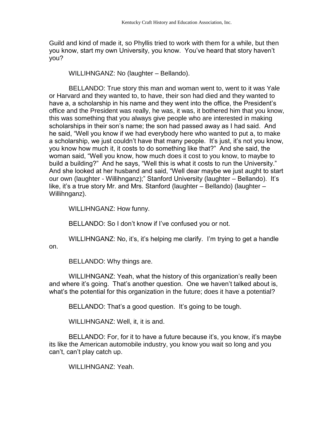Guild and kind of made it, so Phyllis tried to work with them for a while, but then you know, start my own University, you know. You've heard that story haven't you?

WILLIHNGANZ: No (laughter – Bellando).

BELLANDO: True story this man and woman went to, went to it was Yale or Harvard and they wanted to, to have, their son had died and they wanted to have a, a scholarship in his name and they went into the office, the President's office and the President was really, he was, it was, it bothered him that you know, this was something that you always give people who are interested in making scholarships in their son's name; the son had passed away as I had said. And he said, "Well you know if we had everybody here who wanted to put a, to make a scholarship, we just couldn't have that many people. It's just, it's not you know, you know how much it, it costs to do something like that?" And she said, the woman said, "Well you know, how much does it cost to you know, to maybe to build a building?" And he says, "Well this is what it costs to run the University." And she looked at her husband and said, "Well dear maybe we just aught to start our own (laughter - Willihnganz);" Stanford University (laughter – Bellando). It's like, it's a true story Mr. and Mrs. Stanford (laughter – Bellando) (laughter – Willihnganz).

WILLIHNGANZ: How funny.

BELLANDO: So I don't know if I've confused you or not.

WILLIHNGANZ: No, it's, it's helping me clarify. I'm trying to get a handle on.

BELLANDO: Why things are.

WILLIHNGANZ: Yeah, what the history of this organization's really been and where it's going. That's another question. One we haven't talked about is, what's the potential for this organization in the future; does it have a potential?

BELLANDO: That's a good question. It's going to be tough.

WILLIHNGANZ: Well, it, it is and.

BELLANDO: For, for it to have a future because it's, you know, it's maybe its like the American automobile industry, you know you wait so long and you can't, can't play catch up.

WILLIHNGANZ: Yeah.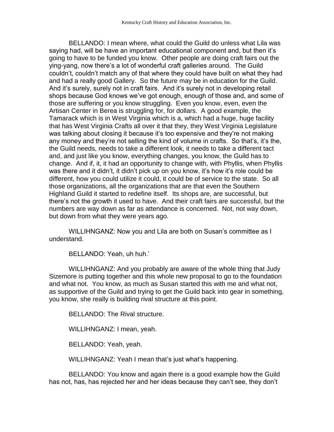BELLANDO: I mean where, what could the Guild do unless what Lila was saying had, will be have an important educational component and, but then it's going to have to be funded you know. Other people are doing craft fairs out the ying-yang, now there's a lot of wonderful craft galleries around. The Guild couldn't, couldn't match any of that where they could have built on what they had and had a really good Gallery. So the future may be in education for the Guild. And it's surely, surely not in craft fairs. And it's surely not in developing retail shops because God knows we've got enough, enough of those and, and some of those are suffering or you know struggling. Even you know, even, even the Artisan Center in Berea is struggling for, for dollars. A good example, the Tamarack which is in West Virginia which is a, which had a huge, huge facility that has West Virginia Crafts all over it that they, they West Virginia Legislature was talking about closing it because it's too expensive and they're not making any money and they're not selling the kind of volume in crafts. So that's, it's the, the Guild needs, needs to take a different look, it needs to take a different tact and, and just like you know, everything changes, you know, the Guild has to change. And if, it, it had an opportunity to change with, with Phyllis, when Phyllis was there and it didn't, it didn't pick up on you know, it's how it's role could be different, how you could utilize it could, it could be of service to the state. So all those organizations, all the organizations that are that even the Southern Highland Guild it started to redefine itself. Its shops are, are successful, but there's not the growth it used to have. And their craft fairs are successful, but the numbers are way down as far as attendance is concerned. Not, not way down, but down from what they were years ago.

WILLIHNGANZ: Now you and Lila are both on Susan's committee as I understand.

BELLANDO: Yeah, uh huh.'

WILLIHNGANZ: And you probably are aware of the whole thing that Judy Sizemore is putting together and this whole new proposal to go to the foundation and what not. You know, as much as Susan started this with me and what not, as supportive of the Guild and trying to get the Guild back into gear in something, you know, she really is building rival structure at this point.

BELLANDO: The Rival structure.

WILLIHNGANZ: I mean, yeah.

BELLANDO: Yeah, yeah.

WILLIHNGANZ: Yeah I mean that's just what's happening.

BELLANDO: You know and again there is a good example how the Guild has not, has, has rejected her and her ideas because they can't see, they don't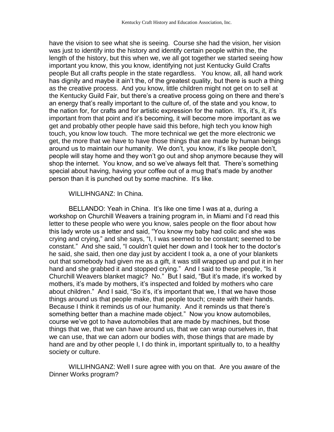have the vision to see what she is seeing. Course she had the vision, her vision was just to identify into the history and identify certain people within the, the length of the history, but this when we, we all got together we started seeing how important you know, this you know, identifying not just Kentucky Guild Crafts people But all crafts people in the state regardless. You know, all, all hand work has dignity and maybe it ain't the, of the greatest quality, but there is such a thing as the creative process. And you know, little children might not get on to sell at the Kentucky Guild Fair, but there's a creative process going on there and there's an energy that's really important to the culture of, of the state and you know, to the nation for, for crafts and for artistic expression for the nation. It's, it's, it, it's important from that point and it's becoming, it will become more important as we get and probably other people have said this before, high tech you know high touch, you know low touch. The more technical we get the more electronic we get, the more that we have to have those things that are made by human beings around us to maintain our humanity. We don't, you know, it's like people don't, people will stay home and they won't go out and shop anymore because they will shop the internet. You know, and so we've always felt that. There's something special about having, having your coffee out of a mug that's made by another person than it is punched out by some machine. It's like.

## WILLIHNGANZ: In China.

BELLANDO: Yeah in China. It's like one time I was at a, during a workshop on Churchill Weavers a training program in, in Miami and I'd read this letter to these people who were you know, sales people on the floor about how this lady wrote us a letter and said, "You know my baby had colic and she was crying and crying," and she says, "I, I was seemed to be constant; seemed to be constant." And she said, "I couldn't quiet her down and I took her to the doctor's he said, she said, then one day just by accident I took a, a one of your blankets out that somebody had given me as a gift, it was still wrapped up and put it in her hand and she grabbed it and stopped crying." And I said to these people, "Is it Churchill Weavers blanket magic? No." But I said, "But it's made, it's worked by mothers, it's made by mothers, it's inspected and folded by mothers who care about children." And I said, "So it's, it's important that we, I that we have those things around us that people make, that people touch; create with their hands. Because I think it reminds us of our humanity. And it reminds us that there's something better than a machine made object." Now you know automobiles, course we've got to have automobiles that are made by machines, but those things that we, that we can have around us, that we can wrap ourselves in, that we can use, that we can adorn our bodies with, those things that are made by hand are and by other people I, I do think in, important spiritually to, to a healthy society or culture.

WILLIHNGANZ: Well I sure agree with you on that. Are you aware of the Dinner Works program?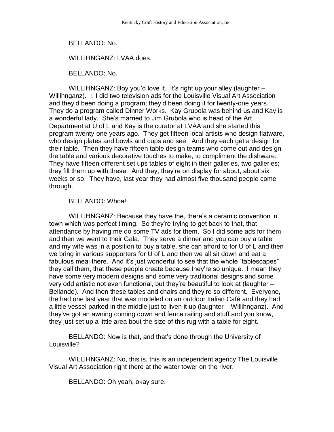BELLANDO: No.

WILLIHNGANZ: LVAA does.

BELLANDO: No.

WILLIHNGANZ: Boy you'd love it. It's right up your alley (laughter – Willihnganz). I, I did two television ads for the Louisville Visual Art Association and they'd been doing a program; they'd been doing it for twenty-one years. They do a program called Dinner Works. Kay Grubola was behind us and Kay is a wonderful lady. She's married to Jim Grubola who is head of the Art Department at U of L and Kay is the curator at LVAA and she started this program twenty-one years ago. They get fifteen local artists who design flatware, who design plates and bowls and cups and see. And they each get a design for their table. Then they have fifteen table design teams who come out and design the table and various decorative touches to make, to compliment the dishware. They have fifteen different set ups tables of eight in their galleries, two galleries; they fill them up with these. And they, they're on display for about, about six weeks or so. They have, last year they had almost five thousand people come through.

## BELLANDO: Whoa!

WILLIHNGANZ: Because they have the, there's a ceramic convention in town which was perfect timing. So they're trying to get back to that, that attendance by having me do some TV ads for them. So I did some ads for them and then we went to their Gala. They serve a dinner and you can buy a table and my wife was in a position to buy a table, she can afford to for U of L and then we bring in various supporters for U of L and then we all sit down and eat a fabulous meal there. And it's just wonderful to see that the whole "tablescapes" they call them, that these people create because they're so unique. I mean they have some very modern designs and some very traditional designs and some very odd artistic not even functional, but they're beautiful to look at (laughter – Bellando). And then these tables and chairs and they're so different. Everyone, the had one last year that was modeled on an outdoor Italian Café and they had a little vessel parked in the middle just to liven it up (laughter – Willihnganz). And they've got an awning coming down and fence railing and stuff and you know, they just set up a little area bout the size of this rug with a table for eight.

BELLANDO: Now is that, and that's done through the University of Louisville?

WILLIHNGANZ: No, this is, this is an independent agency The Louisville Visual Art Association right there at the water tower on the river.

BELLANDO: Oh yeah, okay sure.